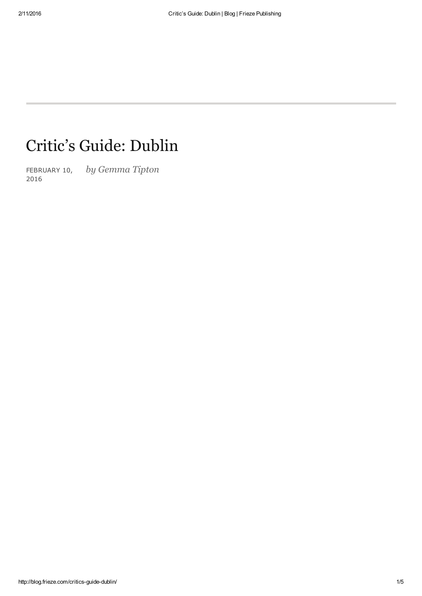# Critic's Guide: Dublin

FEBRUARY 10, by Gemma Tipton 2016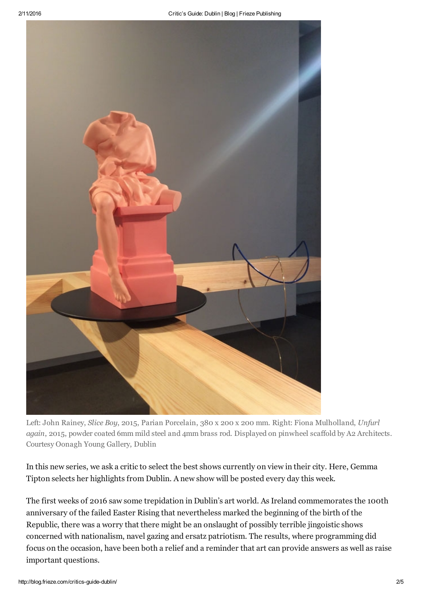

Left: John Rainey, Slice Boy, 2015, Parian Porcelain, 380 x 200 x 200 mm. Right: Fiona Mulholland, Unfurl again, 2015, powder coated 6mm mild steel and 4mm brass rod. Displayed on pinwheel scaffold by A2 Architects. Courtesy Oonagh Young Gallery, Dublin

In this new series, we ask a critic to select the best shows currently on view in their city. Here, Gemma Tipton selects her highlights from Dublin. A new show will be posted every day this week.

The first weeks of 2016 saw some trepidation in Dublin's art world. As Ireland commemorates the 100th anniversary of the failed Easter Rising that nevertheless marked the beginning of the birth of the Republic, there was a worry that there might be an onslaught of possibly terrible jingoistic shows concerned with nationalism, navel gazing and ersatz patriotism. The results, where programming did focus on the occasion, have been both a relief and a reminder that art can provide answers as well as raise important questions.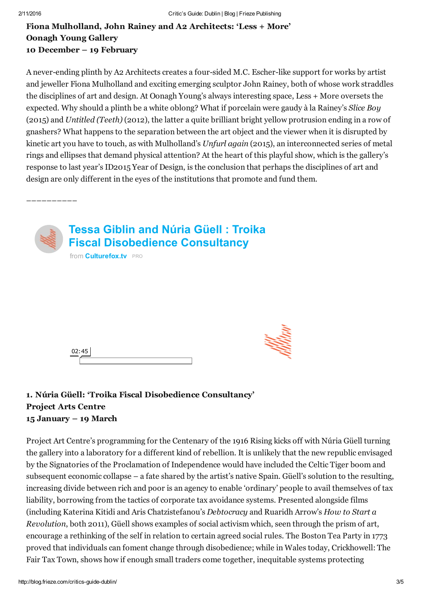––––––––––

## Fiona Mulholland, John Rainey and A2 Architects: 'Less + More' Oonagh Young Gallery 10 December – 19 February

A never-ending plinth by A2 Architects creates a four-sided M.C. Escher-like support for works by artist and jeweller Fiona Mulholland and exciting emerging sculptor John Rainey, both of whose work straddles the disciplines of art and design. At Oonagh Young's always interesting space, Less + More oversets the expected. Why should a plinth be a white oblong? What if porcelain were gaudy à la Rainey's Slice Boy (2015) and Untitled (Teeth) (2012), the latter a quite brilliant bright yellow protrusion ending in a row of gnashers? What happens to the separation between the art object and the viewer when it is disrupted by kinetic art you have to touch, as with Mulholland's Unfurl again (2015), an interconnected series of metal rings and ellipses that demand physical attention? At the heart of this playful show, which is the gallery's response to last year's ID2015 Year of Design, is the conclusion that perhaps the disciplines of art and design are only different in the eyes of the institutions that promote and fund them.



| U. |  |  |
|----|--|--|
|    |  |  |

## 1. Núria Güell: 'Troika Fiscal Disobedience Consultancy' Project Arts Centre 15 January – 19 March

Project Art Centre's programming for the Centenary of the 1916 Rising kicks off with Núria Güell turning the gallery into a laboratory for a different kind of rebellion. It is unlikely that the new republic envisaged by the Signatories of the Proclamation of Independence would have included the Celtic Tiger boom and subsequent economic collapse – a fate shared by the artist's native Spain. Güell's solution to the resulting, increasing divide between rich and poor is an agency to enable 'ordinary' people to avail themselves of tax liability, borrowing from the tactics of corporate tax avoidance systems. Presented alongside films (including Katerina Kitidi and Aris Chatzistefanou's Debtocracy and Ruaridh Arrow's How to Start a Revolution, both 2011), Güell shows examples of social activism which, seen through the prism of art, encourage a rethinking of the self in relation to certain agreed social rules. The Boston Tea Party in 1773 proved that individuals can foment change through disobedience; while in Wales today, Crickhowell: The Fair Tax Town, shows how if enough small traders come together, inequitable systems protecting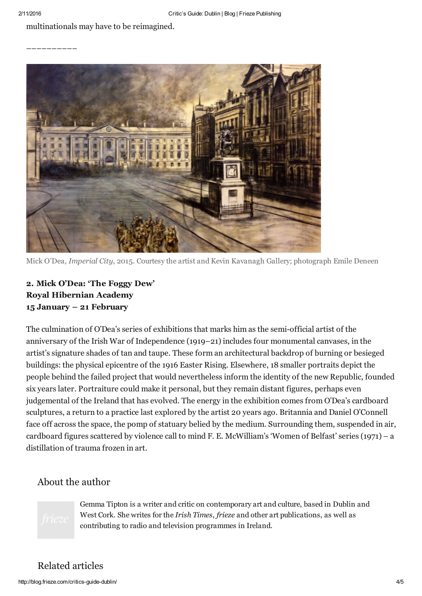#### multinationals may have to be reimagined.

––––––––––



Mick O'Dea, Imperial City, 2015. Courtesy the artist and Kevin Kavanagh Gallery; photograph Emile Deneen

## 2. Mick O'Dea: 'The Foggy Dew' Royal Hibernian Academy 15 January – 21 February

The culmination of O'Dea's series of exhibitions that marks him as the semiofficial artist of the anniversary of the Irish War of Independence (1919–21) includes four monumental canvases, in the artist's signature shades of tan and taupe. These form an architectural backdrop of burning or besieged buildings: the physical epicentre of the 1916 Easter Rising. Elsewhere, 18 smaller portraits depict the people behind the failed project that would nevertheless inform the identity of the new Republic, founded six years later. Portraiture could make it personal, but they remain distant figures, perhaps even judgemental of the Ireland that has evolved. The energy in the exhibition comes from O'Dea's cardboard sculptures, a return to a practice last explored by the artist 20 years ago. Britannia and Daniel O'Connell face off across the space, the pomp of statuary belied by the medium. Surrounding them, suspended in air, cardboard figures scattered by violence call to mind F. E. McWilliam's 'Women of Belfast' series (1971) – a distillation of trauma frozen in art.

## About the author



Gemma Tipton is a writer and critic on contemporary art and culture, based in Dublin and West Cork. She writes for the *Irish Times, frieze* and other art publications, as well as contributing to radio and television programmes in Ireland.

## Related articles